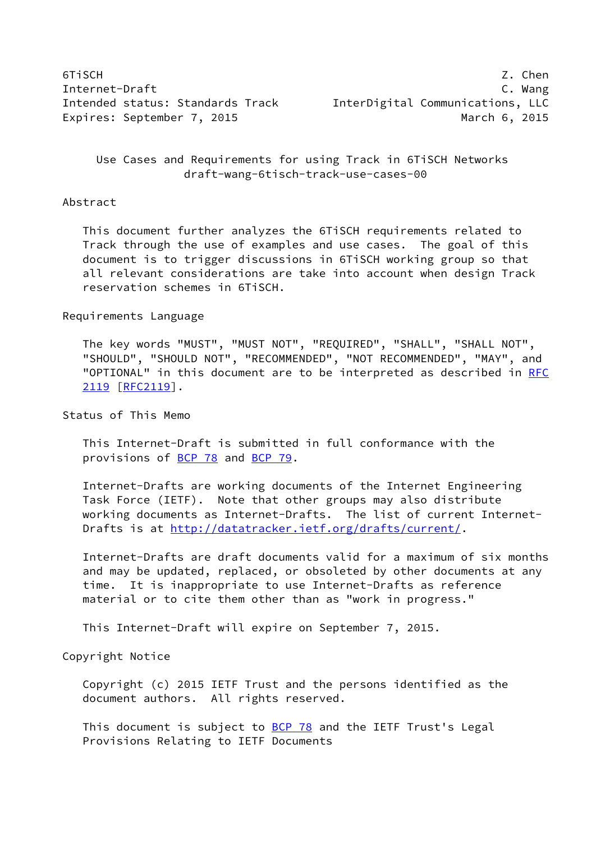6TiSCH Z. Chen Internet-Draft C. Wang Intended status: Standards Track InterDigital Communications, LLC Expires: September 7, 2015 and the contract of the March 6, 2015

 Use Cases and Requirements for using Track in 6TiSCH Networks draft-wang-6tisch-track-use-cases-00

#### Abstract

 This document further analyzes the 6TiSCH requirements related to Track through the use of examples and use cases. The goal of this document is to trigger discussions in 6TiSCH working group so that all relevant considerations are take into account when design Track reservation schemes in 6TiSCH.

#### Requirements Language

 The key words "MUST", "MUST NOT", "REQUIRED", "SHALL", "SHALL NOT", "SHOULD", "SHOULD NOT", "RECOMMENDED", "NOT RECOMMENDED", "MAY", and "OPTIONAL" in this document are to be interpreted as described in [RFC](https://datatracker.ietf.org/doc/pdf/rfc2119) [2119](https://datatracker.ietf.org/doc/pdf/rfc2119) [\[RFC2119](https://datatracker.ietf.org/doc/pdf/rfc2119)].

### Status of This Memo

 This Internet-Draft is submitted in full conformance with the provisions of [BCP 78](https://datatracker.ietf.org/doc/pdf/bcp78) and [BCP 79](https://datatracker.ietf.org/doc/pdf/bcp79).

 Internet-Drafts are working documents of the Internet Engineering Task Force (IETF). Note that other groups may also distribute working documents as Internet-Drafts. The list of current Internet- Drafts is at<http://datatracker.ietf.org/drafts/current/>.

 Internet-Drafts are draft documents valid for a maximum of six months and may be updated, replaced, or obsoleted by other documents at any time. It is inappropriate to use Internet-Drafts as reference material or to cite them other than as "work in progress."

This Internet-Draft will expire on September 7, 2015.

# Copyright Notice

 Copyright (c) 2015 IETF Trust and the persons identified as the document authors. All rights reserved.

This document is subject to **[BCP 78](https://datatracker.ietf.org/doc/pdf/bcp78)** and the IETF Trust's Legal Provisions Relating to IETF Documents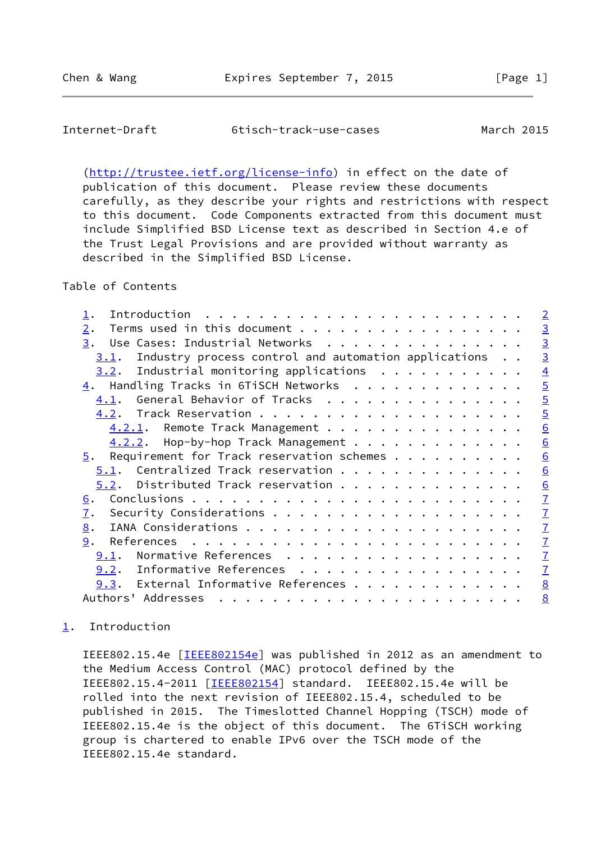## <span id="page-1-1"></span>Internet-Draft 6tisch-track-use-cases March 2015

 [\(http://trustee.ietf.org/license-info](http://trustee.ietf.org/license-info)) in effect on the date of publication of this document. Please review these documents carefully, as they describe your rights and restrictions with respect to this document. Code Components extracted from this document must include Simplified BSD License text as described in Section 4.e of the Trust Legal Provisions and are provided without warranty as described in the Simplified BSD License.

## Table of Contents

| Introduction                                                                                                                                                                                                                                                                                                                                                                                                                                                                     | $\overline{2}$  |
|----------------------------------------------------------------------------------------------------------------------------------------------------------------------------------------------------------------------------------------------------------------------------------------------------------------------------------------------------------------------------------------------------------------------------------------------------------------------------------|-----------------|
| Terms used in this document<br>$\overline{2}$ .                                                                                                                                                                                                                                                                                                                                                                                                                                  | $\overline{3}$  |
| Use Cases: Industrial Networks<br>3.                                                                                                                                                                                                                                                                                                                                                                                                                                             | $\overline{3}$  |
| Industry process control and automation applications<br><u>3.1</u> .                                                                                                                                                                                                                                                                                                                                                                                                             | $\overline{3}$  |
| Industrial monitoring applications<br>3.2.                                                                                                                                                                                                                                                                                                                                                                                                                                       | $\overline{4}$  |
| $\underline{4}$ . Handling Tracks in 6TiSCH Networks                                                                                                                                                                                                                                                                                                                                                                                                                             | $\overline{5}$  |
| General Behavior of Tracks<br>4.1.                                                                                                                                                                                                                                                                                                                                                                                                                                               | $\overline{5}$  |
| 4.2.                                                                                                                                                                                                                                                                                                                                                                                                                                                                             | $\overline{5}$  |
| Remote Track Management<br>4.2.1.                                                                                                                                                                                                                                                                                                                                                                                                                                                | 6               |
| Hop-by-hop Track Management<br>4.2.2.                                                                                                                                                                                                                                                                                                                                                                                                                                            | 6               |
| Requirement for Track reservation schemes<br>5.                                                                                                                                                                                                                                                                                                                                                                                                                                  | 6               |
| Centralized Track reservation<br>5.1.                                                                                                                                                                                                                                                                                                                                                                                                                                            | 6               |
| Distributed Track reservation<br>5.2.                                                                                                                                                                                                                                                                                                                                                                                                                                            | 6               |
| <u>6</u> .                                                                                                                                                                                                                                                                                                                                                                                                                                                                       | $\overline{1}$  |
| 7.                                                                                                                                                                                                                                                                                                                                                                                                                                                                               | $\mathbf{I}$    |
| 8.                                                                                                                                                                                                                                                                                                                                                                                                                                                                               | $\mathbf{Z}$    |
| 9.                                                                                                                                                                                                                                                                                                                                                                                                                                                                               | $\overline{1}$  |
| Normative References<br>9.1.                                                                                                                                                                                                                                                                                                                                                                                                                                                     | $\mathbf{I}$    |
| Informative References<br>9.2.                                                                                                                                                                                                                                                                                                                                                                                                                                                   | $\mathbf{I}$    |
| External Informative References<br>9.3.                                                                                                                                                                                                                                                                                                                                                                                                                                          | $\underline{8}$ |
| Authors' Addresses<br>$\mathbf{a}^{\top} \cdot \mathbf{a}^{\top} \cdot \mathbf{a}^{\top} \cdot \mathbf{a}^{\top} \cdot \mathbf{a}^{\top} \cdot \mathbf{a}^{\top} \cdot \mathbf{a}^{\top} \cdot \mathbf{a}^{\top} \cdot \mathbf{a}^{\top} \cdot \mathbf{a}^{\top} \cdot \mathbf{a}^{\top} \cdot \mathbf{a}^{\top} \cdot \mathbf{a}^{\top} \cdot \mathbf{a}^{\top} \cdot \mathbf{a}^{\top} \cdot \mathbf{a}^{\top} \cdot \mathbf{a}^{\top} \cdot \mathbf{a}^{\top} \cdot \mathbf{$ | $\underline{8}$ |

## <span id="page-1-0"></span>[1](#page-1-0). Introduction

IEEE802.15.4e [[IEEE802154e](#page-8-1)] was published in 2012 as an amendment to the Medium Access Control (MAC) protocol defined by the IEEE802.15.4-2011 [[IEEE802154\]](#page-8-2) standard. IEEE802.15.4e will be rolled into the next revision of IEEE802.15.4, scheduled to be published in 2015. The Timeslotted Channel Hopping (TSCH) mode of IEEE802.15.4e is the object of this document. The 6TiSCH working group is chartered to enable IPv6 over the TSCH mode of the IEEE802.15.4e standard.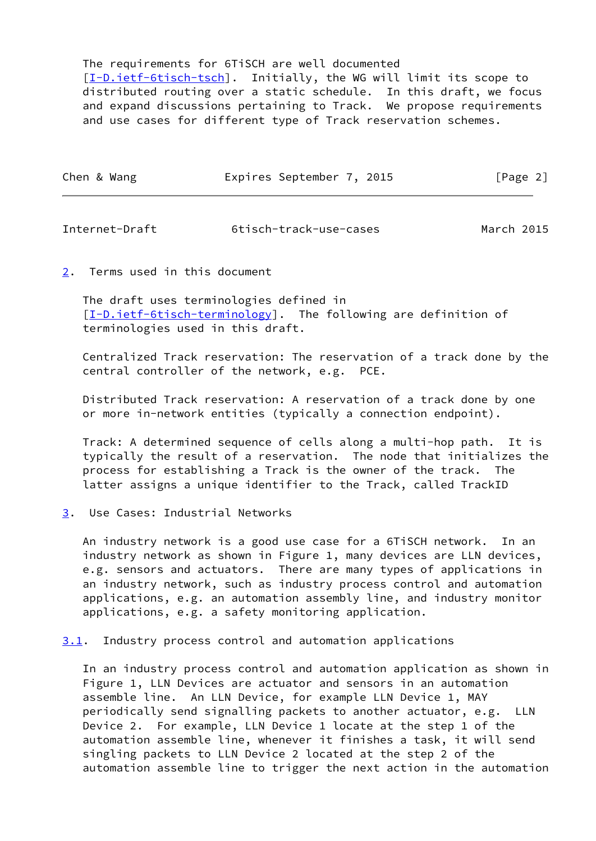The requirements for 6TiSCH are well documented [\[I-D.ietf-6tisch-tsch](#page-8-3)]. Initially, the WG will limit its scope to distributed routing over a static schedule. In this draft, we focus and expand discussions pertaining to Track. We propose requirements and use cases for different type of Track reservation schemes.

| Chen & Wang | Expires September 7, 2015 |  | [Page 2] |
|-------------|---------------------------|--|----------|
|-------------|---------------------------|--|----------|

<span id="page-2-1"></span>Internet-Draft 6tisch-track-use-cases March 2015

<span id="page-2-0"></span>[2](#page-2-0). Terms used in this document

 The draft uses terminologies defined in [\[I-D.ietf-6tisch-terminology](#page-7-6)]. The following are definition of terminologies used in this draft.

 Centralized Track reservation: The reservation of a track done by the central controller of the network, e.g. PCE.

 Distributed Track reservation: A reservation of a track done by one or more in-network entities (typically a connection endpoint).

 Track: A determined sequence of cells along a multi-hop path. It is typically the result of a reservation. The node that initializes the process for establishing a Track is the owner of the track. The latter assigns a unique identifier to the Track, called TrackID

<span id="page-2-2"></span>[3](#page-2-2). Use Cases: Industrial Networks

 An industry network is a good use case for a 6TiSCH network. In an industry network as shown in Figure 1, many devices are LLN devices, e.g. sensors and actuators. There are many types of applications in an industry network, such as industry process control and automation applications, e.g. an automation assembly line, and industry monitor applications, e.g. a safety monitoring application.

<span id="page-2-3"></span>[3.1](#page-2-3). Industry process control and automation applications

 In an industry process control and automation application as shown in Figure 1, LLN Devices are actuator and sensors in an automation assemble line. An LLN Device, for example LLN Device 1, MAY periodically send signalling packets to another actuator, e.g. LLN Device 2. For example, LLN Device 1 locate at the step 1 of the automation assemble line, whenever it finishes a task, it will send singling packets to LLN Device 2 located at the step 2 of the automation assemble line to trigger the next action in the automation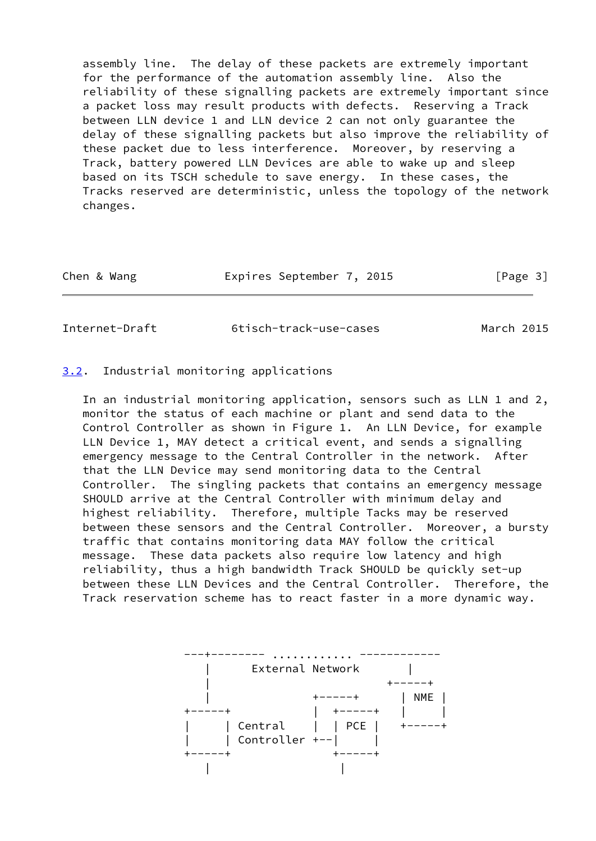assembly line. The delay of these packets are extremely important for the performance of the automation assembly line. Also the reliability of these signalling packets are extremely important since a packet loss may result products with defects. Reserving a Track between LLN device 1 and LLN device 2 can not only guarantee the delay of these signalling packets but also improve the reliability of these packet due to less interference. Moreover, by reserving a Track, battery powered LLN Devices are able to wake up and sleep based on its TSCH schedule to save energy. In these cases, the Tracks reserved are deterministic, unless the topology of the network changes.

| Chen & Wang | Expires September 7, 2015 | [Page 3] |
|-------------|---------------------------|----------|
|             |                           |          |

<span id="page-3-1"></span>Internet-Draft 6tisch-track-use-cases March 2015

#### <span id="page-3-0"></span>[3.2](#page-3-0). Industrial monitoring applications

 In an industrial monitoring application, sensors such as LLN 1 and 2, monitor the status of each machine or plant and send data to the Control Controller as shown in Figure 1. An LLN Device, for example LLN Device 1, MAY detect a critical event, and sends a signalling emergency message to the Central Controller in the network. After that the LLN Device may send monitoring data to the Central Controller. The singling packets that contains an emergency message SHOULD arrive at the Central Controller with minimum delay and highest reliability. Therefore, multiple Tacks may be reserved between these sensors and the Central Controller. Moreover, a bursty traffic that contains monitoring data MAY follow the critical message. These data packets also require low latency and high reliability, thus a high bandwidth Track SHOULD be quickly set-up between these LLN Devices and the Central Controller. Therefore, the Track reservation scheme has to react faster in a more dynamic way.

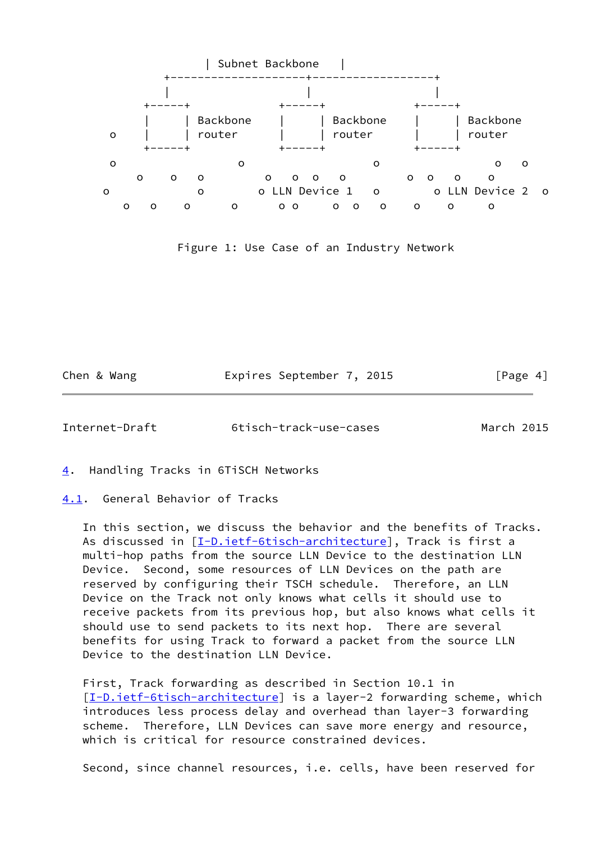

Figure 1: Use Case of an Industry Network

Chen & Wang **Expires September 7, 2015** [Page 4]

<span id="page-4-1"></span>Internet-Draft 6tisch-track-use-cases March 2015

<span id="page-4-0"></span>[4](#page-4-0). Handling Tracks in 6TiSCH Networks

<span id="page-4-2"></span>[4.1](#page-4-2). General Behavior of Tracks

 In this section, we discuss the behavior and the benefits of Tracks. As discussed in [\[I-D.ietf-6tisch-architecture](#page-7-7)], Track is first a multi-hop paths from the source LLN Device to the destination LLN Device. Second, some resources of LLN Devices on the path are reserved by configuring their TSCH schedule. Therefore, an LLN Device on the Track not only knows what cells it should use to receive packets from its previous hop, but also knows what cells it should use to send packets to its next hop. There are several benefits for using Track to forward a packet from the source LLN Device to the destination LLN Device.

 First, Track forwarding as described in Section 10.1 in [\[I-D.ietf-6tisch-architecture](#page-7-7)] is a layer-2 forwarding scheme, which introduces less process delay and overhead than layer-3 forwarding scheme. Therefore, LLN Devices can save more energy and resource, which is critical for resource constrained devices.

Second, since channel resources, i.e. cells, have been reserved for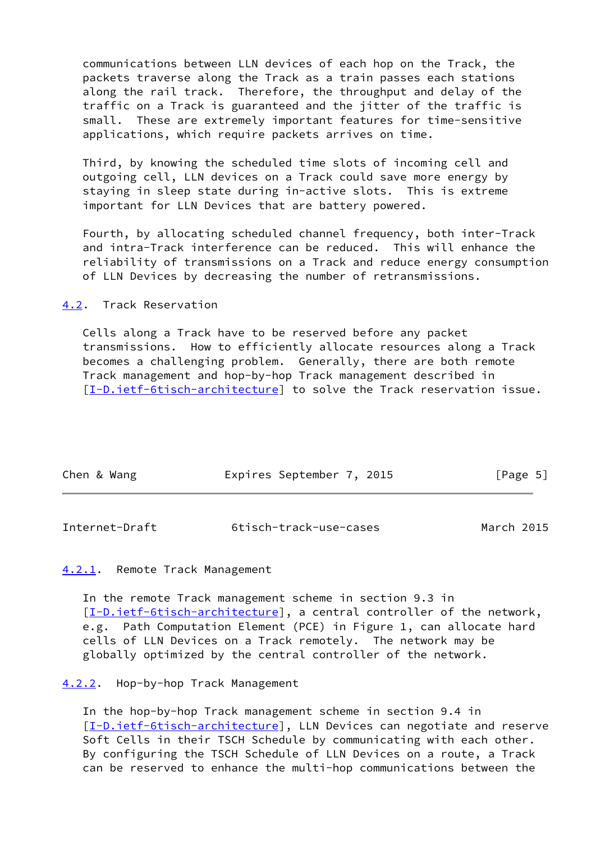communications between LLN devices of each hop on the Track, the packets traverse along the Track as a train passes each stations along the rail track. Therefore, the throughput and delay of the traffic on a Track is guaranteed and the jitter of the traffic is small. These are extremely important features for time-sensitive applications, which require packets arrives on time.

 Third, by knowing the scheduled time slots of incoming cell and outgoing cell, LLN devices on a Track could save more energy by staying in sleep state during in-active slots. This is extreme important for LLN Devices that are battery powered.

 Fourth, by allocating scheduled channel frequency, both inter-Track and intra-Track interference can be reduced. This will enhance the reliability of transmissions on a Track and reduce energy consumption of LLN Devices by decreasing the number of retransmissions.

<span id="page-5-0"></span>[4.2](#page-5-0). Track Reservation

 Cells along a Track have to be reserved before any packet transmissions. How to efficiently allocate resources along a Track becomes a challenging problem. Generally, there are both remote Track management and hop-by-hop Track management described in [\[I-D.ietf-6tisch-architecture](#page-7-7)] to solve the Track reservation issue.

| Chen & Wang | Expires September 7, 2015 | [Page 5] |
|-------------|---------------------------|----------|
|             |                           |          |

<span id="page-5-2"></span>

| Internet-Draft | 6tisch-track-use-cases | March 2015 |
|----------------|------------------------|------------|
|----------------|------------------------|------------|

## <span id="page-5-1"></span>[4.2.1](#page-5-1). Remote Track Management

 In the remote Track management scheme in section 9.3 in [\[I-D.ietf-6tisch-architecture](#page-7-7)], a central controller of the network, e.g. Path Computation Element (PCE) in Figure 1, can allocate hard cells of LLN Devices on a Track remotely. The network may be globally optimized by the central controller of the network.

#### <span id="page-5-3"></span>[4.2.2](#page-5-3). Hop-by-hop Track Management

 In the hop-by-hop Track management scheme in section 9.4 in [\[I-D.ietf-6tisch-architecture](#page-7-7)], LLN Devices can negotiate and reserve Soft Cells in their TSCH Schedule by communicating with each other. By configuring the TSCH Schedule of LLN Devices on a route, a Track can be reserved to enhance the multi-hop communications between the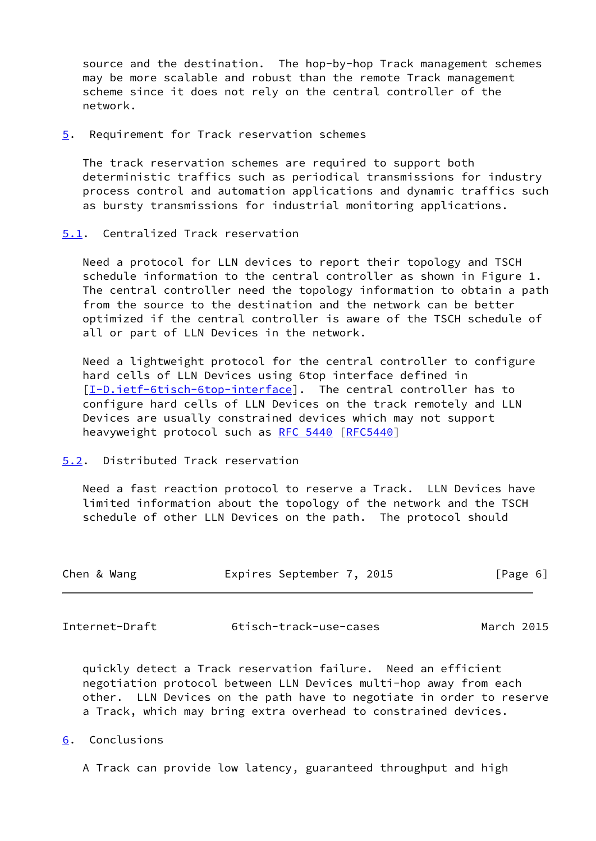source and the destination. The hop-by-hop Track management schemes may be more scalable and robust than the remote Track management scheme since it does not rely on the central controller of the network.

<span id="page-6-0"></span>[5](#page-6-0). Requirement for Track reservation schemes

 The track reservation schemes are required to support both deterministic traffics such as periodical transmissions for industry process control and automation applications and dynamic traffics such as bursty transmissions for industrial monitoring applications.

<span id="page-6-1"></span>[5.1](#page-6-1). Centralized Track reservation

 Need a protocol for LLN devices to report their topology and TSCH schedule information to the central controller as shown in Figure 1. The central controller need the topology information to obtain a path from the source to the destination and the network can be better optimized if the central controller is aware of the TSCH schedule of all or part of LLN Devices in the network.

 Need a lightweight protocol for the central controller to configure hard cells of LLN Devices using 6top interface defined in [\[I-D.ietf-6tisch-6top-interface](#page-7-8)]. The central controller has to configure hard cells of LLN Devices on the track remotely and LLN Devices are usually constrained devices which may not support heavyweight protocol such as [RFC 5440](https://datatracker.ietf.org/doc/pdf/rfc5440) [[RFC5440](https://datatracker.ietf.org/doc/pdf/rfc5440)]

<span id="page-6-2"></span>[5.2](#page-6-2). Distributed Track reservation

 Need a fast reaction protocol to reserve a Track. LLN Devices have limited information about the topology of the network and the TSCH schedule of other LLN Devices on the path. The protocol should

| Chen & Wang | Expires September 7, 2015 | [Page 6] |
|-------------|---------------------------|----------|
|             |                           |          |

<span id="page-6-4"></span>Internet-Draft 6tisch-track-use-cases March 2015

 quickly detect a Track reservation failure. Need an efficient negotiation protocol between LLN Devices multi-hop away from each other. LLN Devices on the path have to negotiate in order to reserve a Track, which may bring extra overhead to constrained devices.

- <span id="page-6-3"></span>[6](#page-6-3). Conclusions
	- A Track can provide low latency, guaranteed throughput and high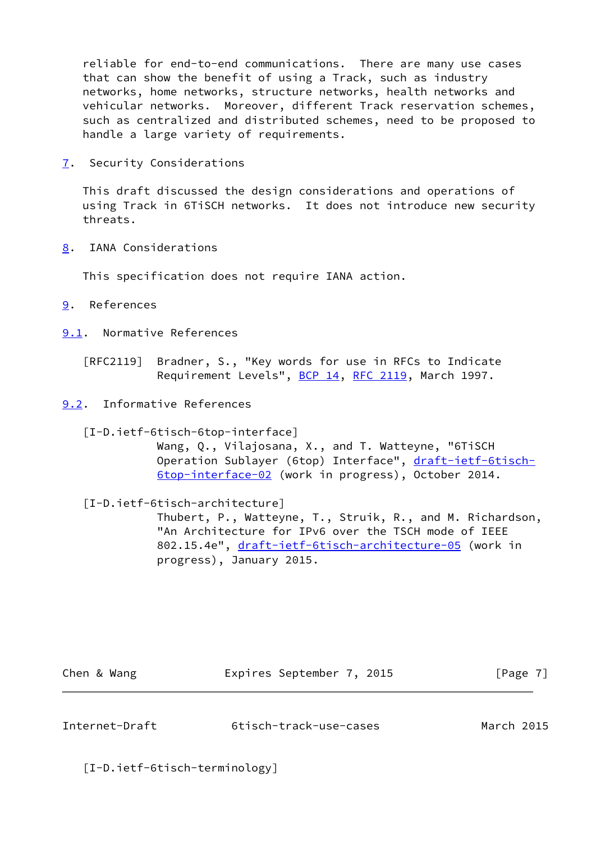reliable for end-to-end communications. There are many use cases that can show the benefit of using a Track, such as industry networks, home networks, structure networks, health networks and vehicular networks. Moreover, different Track reservation schemes, such as centralized and distributed schemes, need to be proposed to handle a large variety of requirements.

<span id="page-7-0"></span>[7](#page-7-0). Security Considerations

 This draft discussed the design considerations and operations of using Track in 6TiSCH networks. It does not introduce new security threats.

<span id="page-7-1"></span>[8](#page-7-1). IANA Considerations

This specification does not require IANA action.

- <span id="page-7-2"></span>[9](#page-7-2). References
- <span id="page-7-3"></span>[9.1](#page-7-3). Normative References
	- [RFC2119] Bradner, S., "Key words for use in RFCs to Indicate Requirement Levels", [BCP 14](https://datatracker.ietf.org/doc/pdf/bcp14), [RFC 2119](https://datatracker.ietf.org/doc/pdf/rfc2119), March 1997.
- <span id="page-7-8"></span><span id="page-7-4"></span>[9.2](#page-7-4). Informative References
	- [I-D.ietf-6tisch-6top-interface]

 Wang, Q., Vilajosana, X., and T. Watteyne, "6TiSCH Operation Sublayer (6top) Interface", [draft-ietf-6tisch-](https://datatracker.ietf.org/doc/pdf/draft-ietf-6tisch-6top-interface-02) [6top-interface-02](https://datatracker.ietf.org/doc/pdf/draft-ietf-6tisch-6top-interface-02) (work in progress), October 2014.

<span id="page-7-7"></span>[I-D.ietf-6tisch-architecture]

 Thubert, P., Watteyne, T., Struik, R., and M. Richardson, "An Architecture for IPv6 over the TSCH mode of IEEE 802.15.4e", [draft-ietf-6tisch-architecture-05](https://datatracker.ietf.org/doc/pdf/draft-ietf-6tisch-architecture-05) (work in progress), January 2015.

Chen & Wang **Expires September 7, 2015** [Page 7]

<span id="page-7-5"></span>Internet-Draft 6tisch-track-use-cases March 2015

<span id="page-7-6"></span>[I-D.ietf-6tisch-terminology]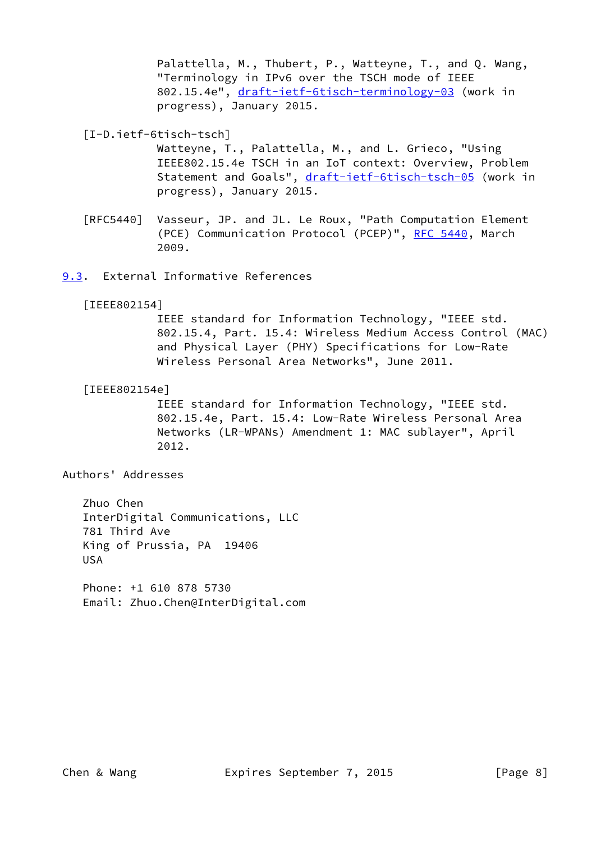Palattella, M., Thubert, P., Watteyne, T., and Q. Wang, "Terminology in IPv6 over the TSCH mode of IEEE 802.15.4e", [draft-ietf-6tisch-terminology-03](https://datatracker.ietf.org/doc/pdf/draft-ietf-6tisch-terminology-03) (work in progress), January 2015.

<span id="page-8-3"></span>[I-D.ietf-6tisch-tsch]

 Watteyne, T., Palattella, M., and L. Grieco, "Using IEEE802.15.4e TSCH in an IoT context: Overview, Problem Statement and Goals", [draft-ietf-6tisch-tsch-05](https://datatracker.ietf.org/doc/pdf/draft-ietf-6tisch-tsch-05) (work in progress), January 2015.

 [RFC5440] Vasseur, JP. and JL. Le Roux, "Path Computation Element (PCE) Communication Protocol (PCEP)", [RFC 5440](https://datatracker.ietf.org/doc/pdf/rfc5440), March 2009.

<span id="page-8-0"></span>[9.3](#page-8-0). External Informative References

<span id="page-8-2"></span>[IEEE802154]

 IEEE standard for Information Technology, "IEEE std. 802.15.4, Part. 15.4: Wireless Medium Access Control (MAC) and Physical Layer (PHY) Specifications for Low-Rate Wireless Personal Area Networks", June 2011.

<span id="page-8-1"></span>[IEEE802154e]

 IEEE standard for Information Technology, "IEEE std. 802.15.4e, Part. 15.4: Low-Rate Wireless Personal Area Networks (LR-WPANs) Amendment 1: MAC sublayer", April 2012.

Authors' Addresses

 Zhuo Chen InterDigital Communications, LLC 781 Third Ave King of Prussia, PA 19406 USA

 Phone: +1 610 878 5730 Email: Zhuo.Chen@InterDigital.com